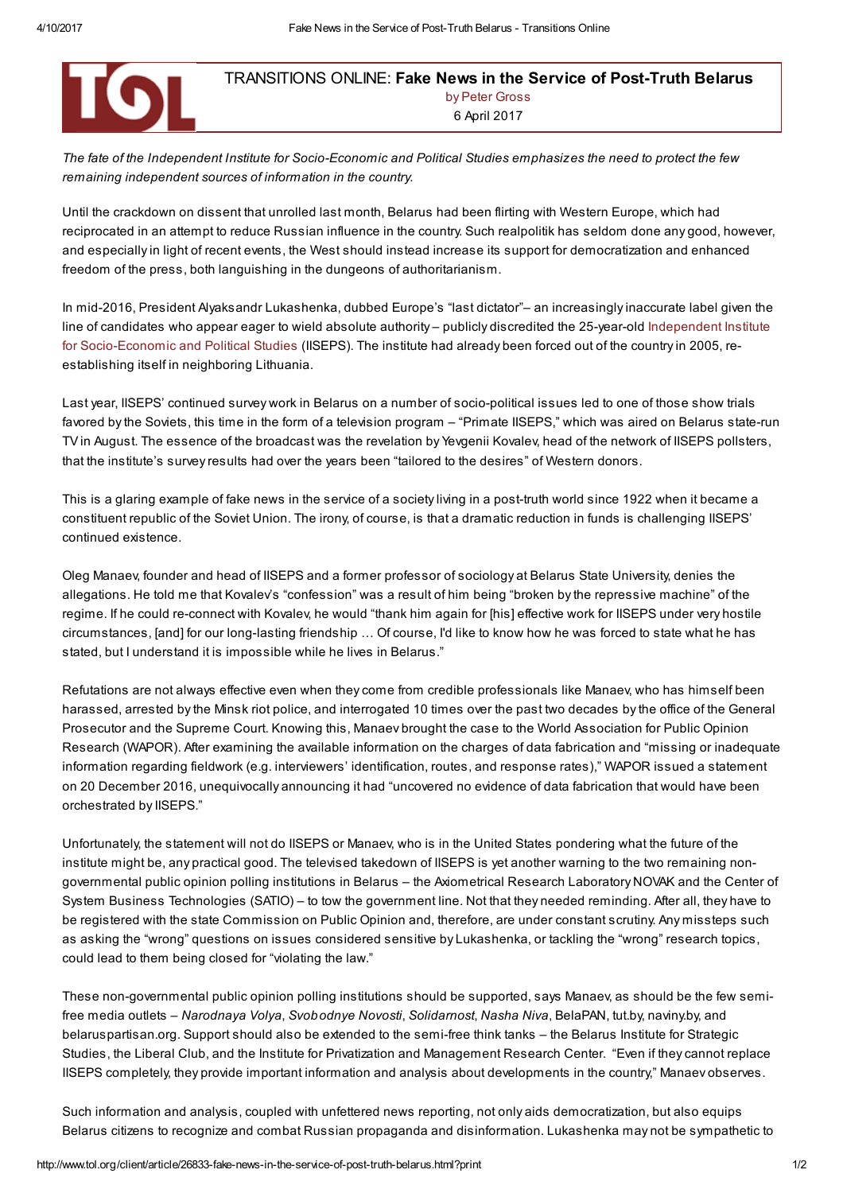

# TRANSITIONS ONLINE: Fake News in the Service of Post-Truth Belarus by Peter Gross 6 April 2017

The fate of the Independent Institute for Socio-Economic and Political Studies emphasizes the need to protect the few remaining independent sources of information in the country.

Until the crackdown on dissent that unrolled last month, Belarus had been flirting with Western Europe, which had reciprocated in an attempt to reduce Russian influence in the country. Such realpolitik has seldom done any good, however, and especially in light of recent events, the West should instead increase its support for democratization and enhanced freedom of the press, both languishing in the dungeons of authoritarianism.

In mid-2016, President Alyaksandr Lukashenka, dubbed Europe's "last dictator"– an increasingly inaccurate label given the line of candidates who appear eager to wield absolute authority – publicly discredited the 25-year-old Independent Institute for Socio-Economic and Political Studies (IISEPS). The institute had already been forced out of the country in 2005, reestablishing itself in neighboring Lithuania.

Last year, IISEPS' continued survey work in Belarus on a number of socio-political issues led to one of those show trials favored by the Soviets, this time in the form of a television program – "Primate IISEPS," which was aired on Belarus state-run TV in August. The essence of the broadcast was the revelation by Yevgenii Kovalev, head of the network of IISEPS pollsters, that the institute's survey results had over the years been "tailored to the desires" of Western donors.

This is a glaring example of fake news in the service of a society living in a post-truth world since 1922 when it became a constituent republic of the Soviet Union. The irony, of course, is that a dramatic reduction in funds is challenging IISEPS' continued existence.

Oleg Manaev, founder and head of IISEPS and a former professor of sociology at Belarus State University, denies the allegations. He told me that Kovalev's "confession" was a result of him being "broken by the repressive machine" of the regime. If he could re-connect with Kovalev, he would "thank him again for [his] effective work for IISEPS under very hostile circumstances, [and] for our long-lasting friendship ... Of course, I'd like to know how he was forced to state what he has stated, but I understand it is impossible while he lives in Belarus."

Refutations are not always effective even when they come from credible professionals like Manaev, who has himself been harassed, arrested by the Minsk riot police, and interrogated 10 times over the past two decades by the office of the General Prosecutor and the Supreme Court. Knowing this, Manaev brought the case to the World Association for Public Opinion Research (WAPOR). After examining the available information on the charges of data fabrication and "missing or inadequate information regarding fieldwork (e.g. interviewers' identification, routes, and response rates)," WAPOR issued a statement on 20 December 2016, unequivocally announcing it had "uncovered no evidence of data fabrication that would have been orchestrated by IISEPS."

Unfortunately, the statement will not do IISEPS or Manaev, who is in the United States pondering what the future of the institute might be, any practical good. The televised takedown of IISEPS is yet another warning to the two remaining nongovernmental public opinion polling institutions in Belarus – the Axiometrical Research Laboratory NOVAK and the Center of System Business Technologies (SATIO) – to tow the government line. Not that they needed reminding. After all, they have to be registered with the state Commission on Public Opinion and, therefore, are under constant scrutiny. Any missteps such as asking the "wrong" questions on issues considered sensitive by Lukashenka, or tackling the "wrong" research topics, could lead to them being closed for "violating the law."

These non-governmental public opinion polling institutions should be supported, says Manaev, as should be the few semifree media outlets – Narodnaya Volya, Svobodnye Novosti, Solidarnost, Nasha Niva, BelaPAN, tut.by, naviny.by, and belaruspartisan.org. Support should also be extended to the semi-free think tanks – the Belarus Institute for Strategic Studies, the Liberal Club, and the Institute for Privatization and Management Research Center. "Even if they cannot replace IISEPS completely, they provide important information and analysis about developments in the country," Manaev observes.

Such information and analysis, coupled with unfettered news reporting, not only aids democratization, but also equips Belarus citizens to recognize and combat Russian propaganda and disinformation. Lukashenka may not be sympathetic to